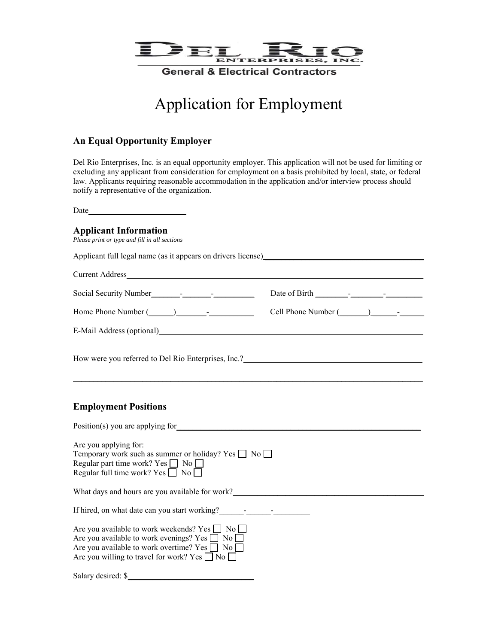

# Application for Employment

#### **An Equal Opportunity Employer**

Del Rio Enterprises, Inc. is an equal opportunity employer. This application will not be used for limiting or excluding any applicant from consideration for employment on a basis prohibited by local, state, or federal law. Applicants requiring reasonable accommodation in the application and/or interview process should notify a representative of the organization.

Date\_\_\_\_\_\_\_\_\_\_\_\_\_\_\_\_\_\_\_\_

#### **Applicant Information**

*Please print or type and fill in all sections* 

Applicant full legal name (as it appears on drivers license) \_\_\_\_\_\_\_\_\_\_\_\_\_\_\_\_\_\_\_\_

Current Address\_\_\_\_\_\_\_\_\_\_\_\_\_\_\_\_\_\_\_\_\_\_\_\_\_\_\_\_\_\_\_\_\_\_\_\_\_\_\_\_\_\_\_\_\_\_\_\_\_\_\_\_\_\_\_\_\_\_\_\_\_\_\_\_\_\_\_\_\_\_\_\_\_ Social Security Number\_\_\_\_\_\_\_-\_\_\_\_\_\_\_-\_\_\_\_\_\_\_\_\_\_ Date of Birth \_\_\_\_\_\_\_\_-\_\_\_\_\_\_\_\_-\_\_\_\_\_\_\_\_\_ Home Phone Number (\_\_\_\_\_\_) \_\_\_\_\_\_\_-\_\_\_\_\_\_\_\_\_\_\_ Cell Phone Number (\_\_\_\_\_\_\_) \_\_\_\_\_\_-\_\_\_\_\_\_

\_\_\_\_\_\_\_\_\_\_\_\_\_\_\_\_\_\_\_\_\_\_\_\_\_\_\_\_\_\_\_\_\_\_\_\_\_\_\_\_\_\_\_\_\_\_\_\_\_\_\_\_\_\_\_\_\_\_\_\_\_\_\_\_\_\_\_\_\_\_\_\_\_\_\_\_\_\_\_\_\_\_\_\_\_\_

E-Mail Address (optional)\_\_\_\_\_\_\_\_\_\_\_\_\_\_\_\_\_\_\_\_\_\_\_\_\_\_\_\_\_\_\_\_\_\_\_\_\_\_\_\_\_\_\_\_\_\_\_\_\_\_\_\_\_\_\_\_\_\_\_\_\_\_\_\_\_

How were you referred to Del Rio Enterprises, Inc.?

#### **Employment Positions**

| Position(s) you are applying for                                                                                                                                                                                               |
|--------------------------------------------------------------------------------------------------------------------------------------------------------------------------------------------------------------------------------|
| Are you applying for:<br>Temporary work such as summer or holiday? Yes     No    <br>Regular part time work? Yes $\Box$ No $\Box$<br>Regular full time work? Yes $\Box$ No $\Box$                                              |
| What days and hours are you available for work?                                                                                                                                                                                |
| If hired, on what date can you start working?                                                                                                                                                                                  |
| Are you available to work weekends? Yes No<br>Are you available to work evenings? Yes $\Box$ No $\Box$<br>Are you available to work overtime? Yes $\Box$ No $\Box$<br>Are you willing to travel for work? Yes $\Box$ No $\Box$ |
| Salary desired: \$                                                                                                                                                                                                             |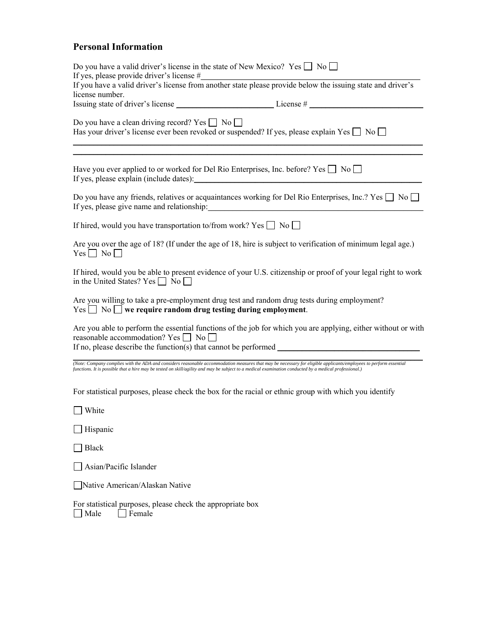## **Personal Information**

| Do you have a valid driver's license in the state of New Mexico? Yes $\Box$ No $\Box$<br>If yes, please provide driver's license #                                |                                                                                                                                                                   |  |  |  |
|-------------------------------------------------------------------------------------------------------------------------------------------------------------------|-------------------------------------------------------------------------------------------------------------------------------------------------------------------|--|--|--|
| license number.                                                                                                                                                   | If you have a valid driver's license $\pi$<br>If you have a valid driver's license from another state please provide below the issuing state and driver's         |  |  |  |
|                                                                                                                                                                   |                                                                                                                                                                   |  |  |  |
| Do you have a clean driving record? Yes $\Box$ No $\Box$<br>Has your driver's license ever been revoked or suspended? If yes, please explain Yes $\Box$ No $\Box$ |                                                                                                                                                                   |  |  |  |
| Have you ever applied to or worked for Del Rio Enterprises, Inc. before? Yes $\Box$ No $\Box$                                                                     |                                                                                                                                                                   |  |  |  |
|                                                                                                                                                                   | Do you have any friends, relatives or acquaintances working for Del Rio Enterprises, Inc.? Yes $\Box$ No $\Box$                                                   |  |  |  |
| If hired, would you have transportation to/from work? Yes $\Box$ No $\Box$                                                                                        |                                                                                                                                                                   |  |  |  |
| $Yes \Box No \Box$                                                                                                                                                | Are you over the age of 18? (If under the age of 18, hire is subject to verification of minimum legal age.)                                                       |  |  |  |
| in the United States? Yes $\Box$ No $\Box$                                                                                                                        | If hired, would you be able to present evidence of your U.S. citizenship or proof of your legal right to work                                                     |  |  |  |
|                                                                                                                                                                   | Are you willing to take a pre-employment drug test and random drug tests during employment?                                                                       |  |  |  |
| reasonable accommodation? Yes $\Box$ No $\Box$<br>If no, please describe the function(s) that cannot be performed ________________                                | Are you able to perform the essential functions of the job for which you are applying, either without or with                                                     |  |  |  |
| functions. It is possible that a hire may be tested on skill/agility and may be subject to a medical examination conducted by a medical professional.)            | (Note: Company complies with the ADA and considers reasonable accommodation measures that may be necessary for eligible applicants/employees to perform essential |  |  |  |
|                                                                                                                                                                   | For statistical purposes, please check the box for the racial or ethnic group with which you identify                                                             |  |  |  |
| White                                                                                                                                                             |                                                                                                                                                                   |  |  |  |
|                                                                                                                                                                   |                                                                                                                                                                   |  |  |  |

Hispanic

■Black

Asian/Pacific Islander

Native American/Alaskan Native

For statistical purposes, please check the appropriate box Male Female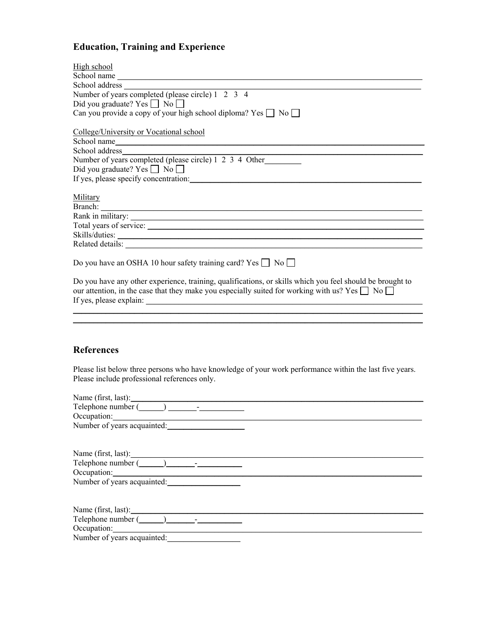# **Education, Training and Experience**

| High school                                                                                                                                                                                                            |  |  |  |  |
|------------------------------------------------------------------------------------------------------------------------------------------------------------------------------------------------------------------------|--|--|--|--|
| School name                                                                                                                                                                                                            |  |  |  |  |
|                                                                                                                                                                                                                        |  |  |  |  |
| School address<br>Number of years completed (please circle) 1 2 3 4                                                                                                                                                    |  |  |  |  |
| Did you graduate? Yes $\Box$ No $\Box$                                                                                                                                                                                 |  |  |  |  |
| Can you provide a copy of your high school diploma? Yes $\Box$ No $\Box$                                                                                                                                               |  |  |  |  |
| College/University or Vocational school                                                                                                                                                                                |  |  |  |  |
| School name                                                                                                                                                                                                            |  |  |  |  |
| School address                                                                                                                                                                                                         |  |  |  |  |
| Number of years completed (please circle) 1 2 3 4 Other                                                                                                                                                                |  |  |  |  |
| Did you graduate? Yes $\Box$ No $\Box$                                                                                                                                                                                 |  |  |  |  |
| If yes, please specify concentration:                                                                                                                                                                                  |  |  |  |  |
| Military                                                                                                                                                                                                               |  |  |  |  |
|                                                                                                                                                                                                                        |  |  |  |  |
| Rank in military:                                                                                                                                                                                                      |  |  |  |  |
|                                                                                                                                                                                                                        |  |  |  |  |
|                                                                                                                                                                                                                        |  |  |  |  |
|                                                                                                                                                                                                                        |  |  |  |  |
| Do you have an OSHA 10 hour safety training card? Yes $\Box$ No $\Box$                                                                                                                                                 |  |  |  |  |
| Do you have any other experience, training, qualifications, or skills which you feel should be brought to<br>our attention, in the case that they make you especially suited for working with us? Yes $\Box$ No $\Box$ |  |  |  |  |
|                                                                                                                                                                                                                        |  |  |  |  |

### **References**

Please list below three persons who have knowledge of your work performance within the last five years. Please include professional references only.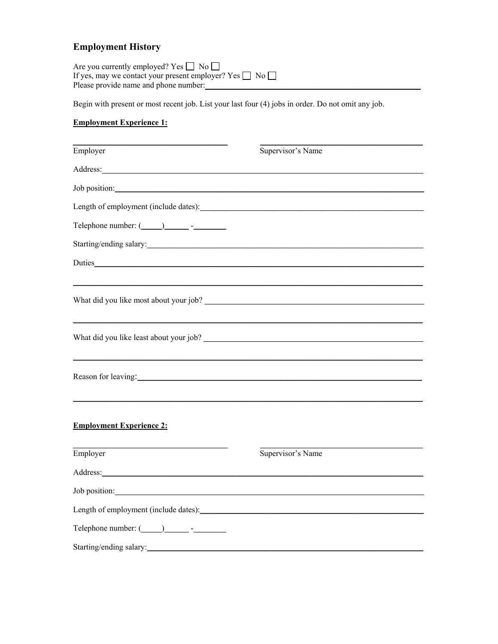# **Employment History**

| Are you currently employed? Yes $\Box$ No $\Box$                   |  |
|--------------------------------------------------------------------|--|
| If yes, may we contact your present employer? Yes $\Box$ No $\Box$ |  |
| Please provide name and phone number:                              |  |

Begin with present or most recent job. List your last four (4) jobs in order. Do not omit any job.

### **Employment Experience 1:**

| Employer                                                                                                                                                                                                                       | Supervisor's Name |
|--------------------------------------------------------------------------------------------------------------------------------------------------------------------------------------------------------------------------------|-------------------|
| Address: No. 1996. The Committee of the Committee of the Committee of the Committee of the Committee of the Committee of the Committee of the Committee of the Committee of the Committee of the Committee of the Committee of |                   |
| Job position: Note that the set of the set of the set of the set of the set of the set of the set of the set of the set of the set of the set of the set of the set of the set of the set of the set of the set of the set of  |                   |
| Length of employment (include dates):                                                                                                                                                                                          |                   |
| Telephone number: $(\_\_)$ - - -                                                                                                                                                                                               |                   |
| Starting/ending salary:                                                                                                                                                                                                        |                   |
|                                                                                                                                                                                                                                |                   |
|                                                                                                                                                                                                                                |                   |
|                                                                                                                                                                                                                                |                   |
|                                                                                                                                                                                                                                |                   |
|                                                                                                                                                                                                                                |                   |
|                                                                                                                                                                                                                                |                   |
| Reason for leaving:                                                                                                                                                                                                            |                   |
|                                                                                                                                                                                                                                |                   |
|                                                                                                                                                                                                                                |                   |
| <b>Employment Experience 2:</b>                                                                                                                                                                                                |                   |
| Employer                                                                                                                                                                                                                       | Supervisor's Name |
|                                                                                                                                                                                                                                |                   |
| Job position: Note that the same state of the state of the state of the state of the state of the state of the state of the state of the state of the state of the state of the state of the state of the state of the state o |                   |
|                                                                                                                                                                                                                                |                   |
| Telephone number: $(\_\_)$ $\_\_$ - $\_\_$                                                                                                                                                                                     |                   |
| Starting/ending salary: 1999 and 2009 and 2009 and 2009 and 2009 and 2009 and 2009 and 2009 and 2009 and 2009 and 2009 and 2009 and 2009 and 2009 and 2009 and 2009 and 2009 and 2009 and 2009 and 2009 and 2009 and 2009 and  |                   |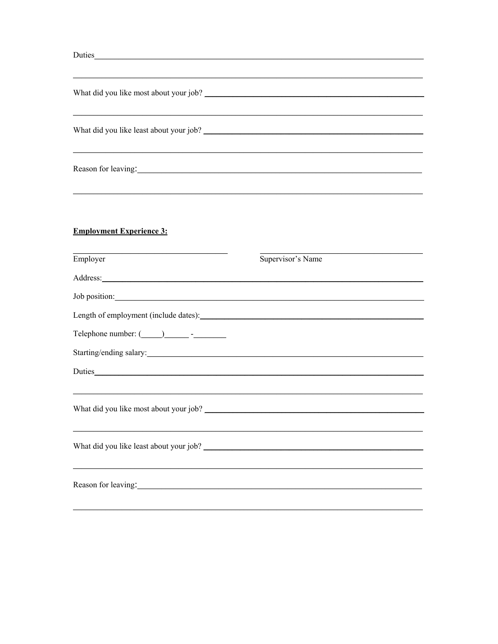| <u> 1980 - Johann Stoff, deutscher Stoff, der Stoff, der Stoff, der Stoff, der Stoff, der Stoff, der Stoff, der S</u> |                                                                                                                                                                            |
|-----------------------------------------------------------------------------------------------------------------------|----------------------------------------------------------------------------------------------------------------------------------------------------------------------------|
|                                                                                                                       |                                                                                                                                                                            |
| What did you like most about your job?                                                                                |                                                                                                                                                                            |
|                                                                                                                       |                                                                                                                                                                            |
|                                                                                                                       |                                                                                                                                                                            |
|                                                                                                                       |                                                                                                                                                                            |
|                                                                                                                       |                                                                                                                                                                            |
|                                                                                                                       |                                                                                                                                                                            |
|                                                                                                                       |                                                                                                                                                                            |
|                                                                                                                       |                                                                                                                                                                            |
|                                                                                                                       |                                                                                                                                                                            |
| Supervisor's Name                                                                                                     |                                                                                                                                                                            |
|                                                                                                                       |                                                                                                                                                                            |
|                                                                                                                       |                                                                                                                                                                            |
| Length of employment (include dates):                                                                                 |                                                                                                                                                                            |
|                                                                                                                       |                                                                                                                                                                            |
|                                                                                                                       |                                                                                                                                                                            |
|                                                                                                                       |                                                                                                                                                                            |
|                                                                                                                       |                                                                                                                                                                            |
|                                                                                                                       |                                                                                                                                                                            |
|                                                                                                                       |                                                                                                                                                                            |
|                                                                                                                       |                                                                                                                                                                            |
|                                                                                                                       |                                                                                                                                                                            |
|                                                                                                                       |                                                                                                                                                                            |
|                                                                                                                       |                                                                                                                                                                            |
|                                                                                                                       | ,我们也不会有什么。""我们的人,我们也不会有什么?""我们的人,我们也不会有什么?""我们的人,我们也不会有什么?""我们的人,我们也不会有什么?""我们的人<br>Reason for leaving:<br>Job position:<br>Starting/ending salary:<br>Reason for leaving: |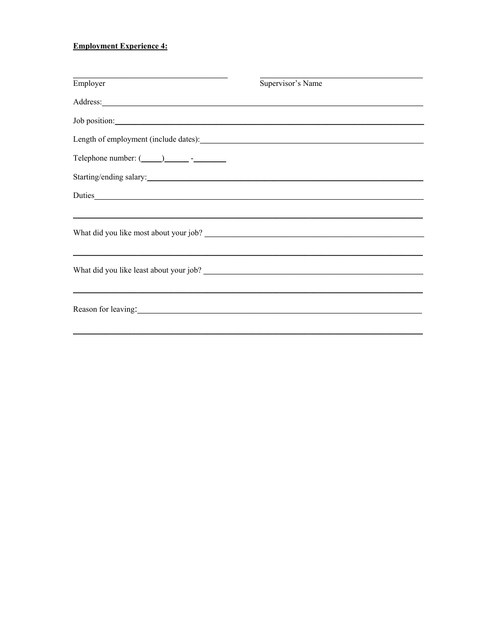#### **Employment Experience 4:**

| Employer                                                                                                                                                                                                                       | Supervisor's Name                                                                |  |
|--------------------------------------------------------------------------------------------------------------------------------------------------------------------------------------------------------------------------------|----------------------------------------------------------------------------------|--|
| Address: Note and the contract of the contract of the contract of the contract of the contract of the contract of the contract of the contract of the contract of the contract of the contract of the contract of the contract |                                                                                  |  |
| Job position: Note that the set of the set of the set of the set of the set of the set of the set of the set of the set of the set of the set of the set of the set of the set of the set of the set of the set of the set of  |                                                                                  |  |
|                                                                                                                                                                                                                                |                                                                                  |  |
|                                                                                                                                                                                                                                |                                                                                  |  |
| Starting/ending salary:                                                                                                                                                                                                        |                                                                                  |  |
|                                                                                                                                                                                                                                |                                                                                  |  |
|                                                                                                                                                                                                                                |                                                                                  |  |
|                                                                                                                                                                                                                                |                                                                                  |  |
|                                                                                                                                                                                                                                |                                                                                  |  |
|                                                                                                                                                                                                                                |                                                                                  |  |
|                                                                                                                                                                                                                                | ,我们也不会有什么。""我们的人,我们也不会有什么?""我们的人,我们也不会有什么?""我们的人,我们也不会有什么?""我们的人,我们也不会有什么?""我们的人 |  |
| Reason for leaving: 1997. The same state of the season for leaving:                                                                                                                                                            |                                                                                  |  |
|                                                                                                                                                                                                                                |                                                                                  |  |
|                                                                                                                                                                                                                                |                                                                                  |  |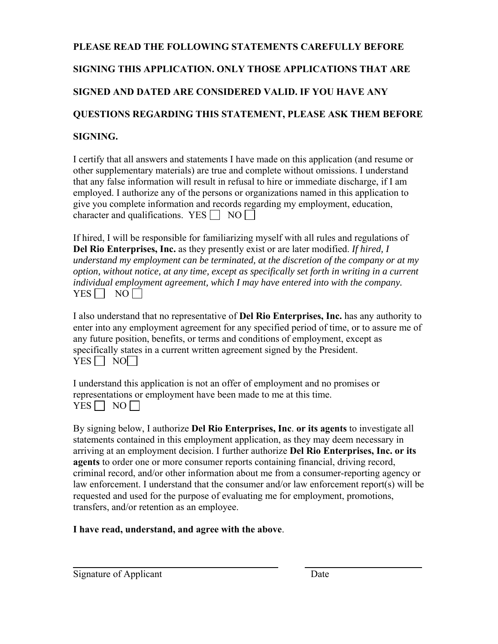# **PLEASE READ THE FOLLOWING STATEMENTS CAREFULLY BEFORE SIGNING THIS APPLICATION. ONLY THOSE APPLICATIONS THAT ARE SIGNED AND DATED ARE CONSIDERED VALID. IF YOU HAVE ANY QUESTIONS REGARDING THIS STATEMENT, PLEASE ASK THEM BEFORE SIGNING.**

I certify that all answers and statements I have made on this application (and resume or other supplementary materials) are true and complete without omissions. I understand that any false information will result in refusal to hire or immediate discharge, if I am employed. I authorize any of the persons or organizations named in this application to give you complete information and records regarding my employment, education, character and qualifications. YES  $\Box$  NO

If hired, I will be responsible for familiarizing myself with all rules and regulations of **Del Rio Enterprises, Inc.** as they presently exist or are later modified. *If hired, I understand my employment can be terminated, at the discretion of the company or at my option, without notice, at any time, except as specifically set forth in writing in a current individual employment agreement, which I may have entered into with the company.*   $YES \Box NO \Box$ 

I also understand that no representative of **Del Rio Enterprises, Inc.** has any authority to enter into any employment agreement for any specified period of time, or to assure me of any future position, benefits, or terms and conditions of employment, except as specifically states in a current written agreement signed by the President.  $YES$  NO

I understand this application is not an offer of employment and no promises or representations or employment have been made to me at this time.  $YES \Box NO \Box$ 

By signing below, I authorize **Del Rio Enterprises, Inc**. **or its agents** to investigate all statements contained in this employment application, as they may deem necessary in arriving at an employment decision. I further authorize **Del Rio Enterprises, Inc. or its agents** to order one or more consumer reports containing financial, driving record, criminal record, and/or other information about me from a consumer-reporting agency or law enforcement. I understand that the consumer and/or law enforcement report(s) will be requested and used for the purpose of evaluating me for employment, promotions, transfers, and/or retention as an employee.

 $\frac{1}{2}$  ,  $\frac{1}{2}$  ,  $\frac{1}{2}$  ,  $\frac{1}{2}$  ,  $\frac{1}{2}$  ,  $\frac{1}{2}$  ,  $\frac{1}{2}$  ,  $\frac{1}{2}$  ,  $\frac{1}{2}$  ,  $\frac{1}{2}$  ,  $\frac{1}{2}$  ,  $\frac{1}{2}$  ,  $\frac{1}{2}$  ,  $\frac{1}{2}$  ,  $\frac{1}{2}$  ,  $\frac{1}{2}$  ,  $\frac{1}{2}$  ,  $\frac{1}{2}$  ,  $\frac{1$ 

### **I have read, understand, and agree with the above**.

Signature of Applicant Date